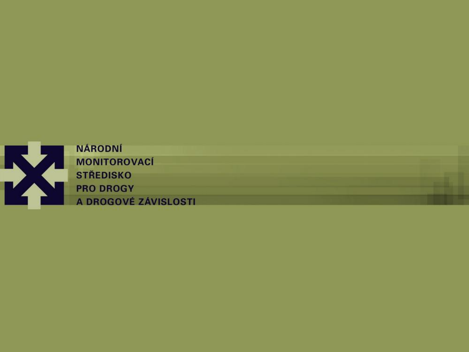

**MONITOROVACÍ** A DROGOVÉ ZÁVISLOSTI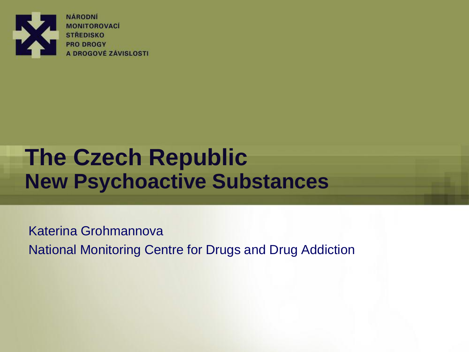

**NÁRODNÍ MONITOROVACÍ STŘEDISKO PRO DROGY** A DROGOVÉ ZÁVISLOSTI

### **The Czech Republic New Psychoactive Substances**

Katerina Grohmannova National Monitoring Centre for Drugs and Drug Addiction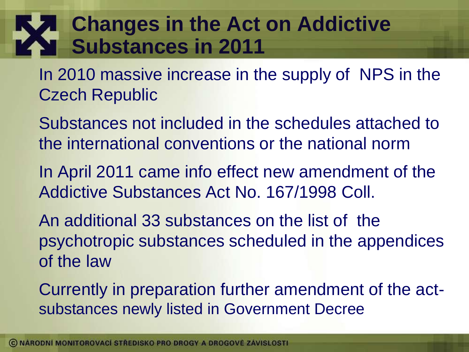#### **KZ Changes in the Act on Addictive Substances in 2011**

In 2010 massive increase in the supply of NPS in the Czech Republic

Substances not included in the schedules attached to the international conventions or the national norm

In April 2011 came info effect new amendment of the Addictive Substances Act No. 167/1998 Coll.

An additional 33 substances on the list of the psychotropic substances scheduled in the appendices of the law

Currently in preparation further amendment of the actsubstances newly listed in Government Decree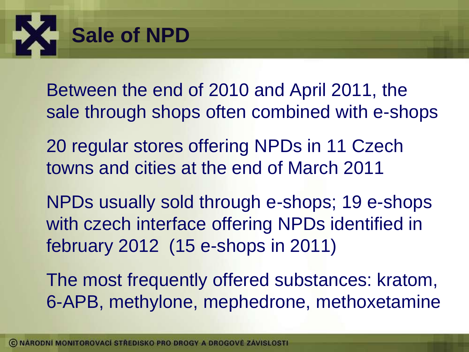

Between the end of 2010 and April 2011, the sale through shops often combined with e-shops

20 regular stores offering NPDs in 11 Czech towns and cities at the end of March 2011

NPDs usually sold through e-shops; 19 e-shops with czech interface offering NPDs identified in february 2012 (15 e-shops in 2011)

The most frequently offered substances: kratom, 6-APB, methylone, mephedrone, methoxetamine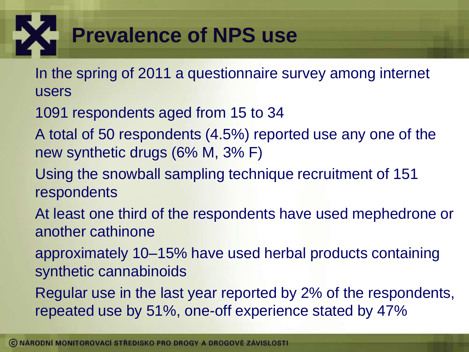# **Prevalence of NPS use**

- In the spring of 2011 a questionnaire survey among internet users
- 1091 respondents aged from 15 to 34
- A total of 50 respondents (4.5%) reported use any one of the new synthetic drugs (6% M, 3% F)
- Using the snowball sampling technique recruitment of 151 respondents
- At least one third of the respondents have used mephedrone or another cathinone
- approximately 10–15% have used herbal products containing synthetic cannabinoids
- Regular use in the last year reported by 2% of the respondents, repeated use by 51%, one-off experience stated by 47%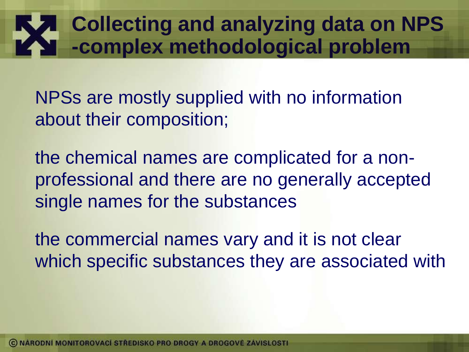### **KZ** Collecting and analyzing data on NPS **Al -complex methodological problem**

NPSs are mostly supplied with no information about their composition;

the chemical names are complicated for a nonprofessional and there are no generally accepted single names for the substances

the commercial names vary and it is not clear which specific substances they are associated with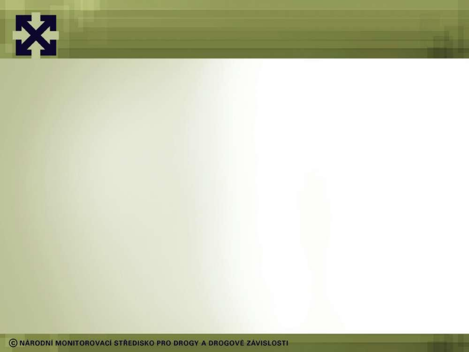